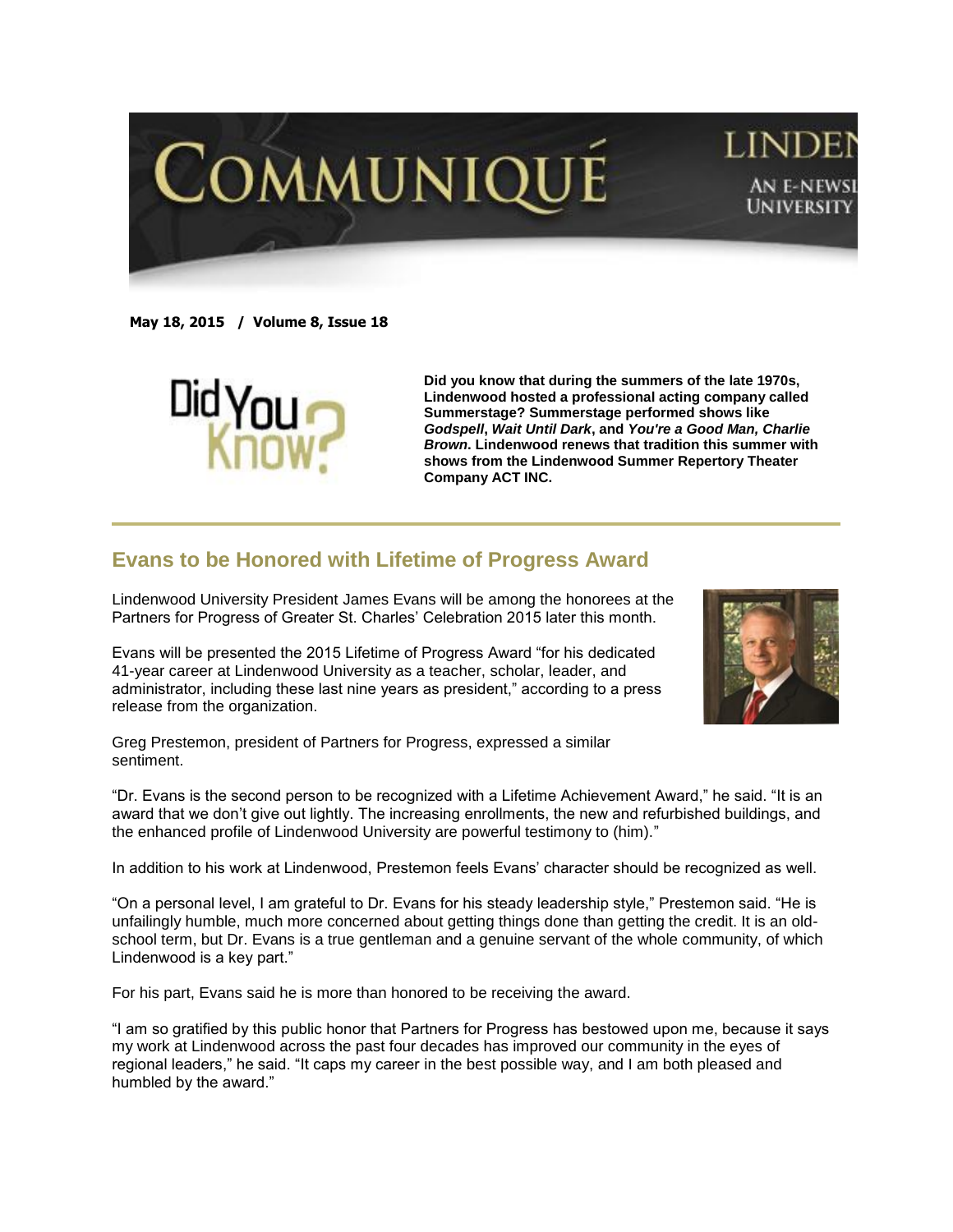

## LINI AN E-NEWSI **UNIVERSITY**

**May 18, 2015 / Volume 8, Issue 18**



**Did you know that during the summers of the late 1970s, Lindenwood hosted a professional acting company called Summerstage? Summerstage performed shows like**  *Godspell***,** *Wait Until Dark***, and** *You're a Good Man, Charlie Brown***. Lindenwood renews that tradition this summer with shows from the Lindenwood Summer Repertory Theater Company ACT INC.**

## **Evans to be Honored with Lifetime of Progress Award**

Lindenwood University President James Evans will be among the honorees at the Partners for Progress of Greater St. Charles' Celebration 2015 later this month.

Evans will be presented the 2015 Lifetime of Progress Award "for his dedicated 41-year career at Lindenwood University as a teacher, scholar, leader, and administrator, including these last nine years as president," according to a press release from the organization.



Greg Prestemon, president of Partners for Progress, expressed a similar sentiment.

"Dr. Evans is the second person to be recognized with a Lifetime Achievement Award," he said. "It is an award that we don't give out lightly. The increasing enrollments, the new and refurbished buildings, and the enhanced profile of Lindenwood University are powerful testimony to (him)."

In addition to his work at Lindenwood, Prestemon feels Evans' character should be recognized as well.

"On a personal level, I am grateful to Dr. Evans for his steady leadership style," Prestemon said. "He is unfailingly humble, much more concerned about getting things done than getting the credit. It is an oldschool term, but Dr. Evans is a true gentleman and a genuine servant of the whole community, of which Lindenwood is a key part."

For his part, Evans said he is more than honored to be receiving the award.

"I am so gratified by this public honor that Partners for Progress has bestowed upon me, because it says my work at Lindenwood across the past four decades has improved our community in the eyes of regional leaders," he said. "It caps my career in the best possible way, and I am both pleased and humbled by the award."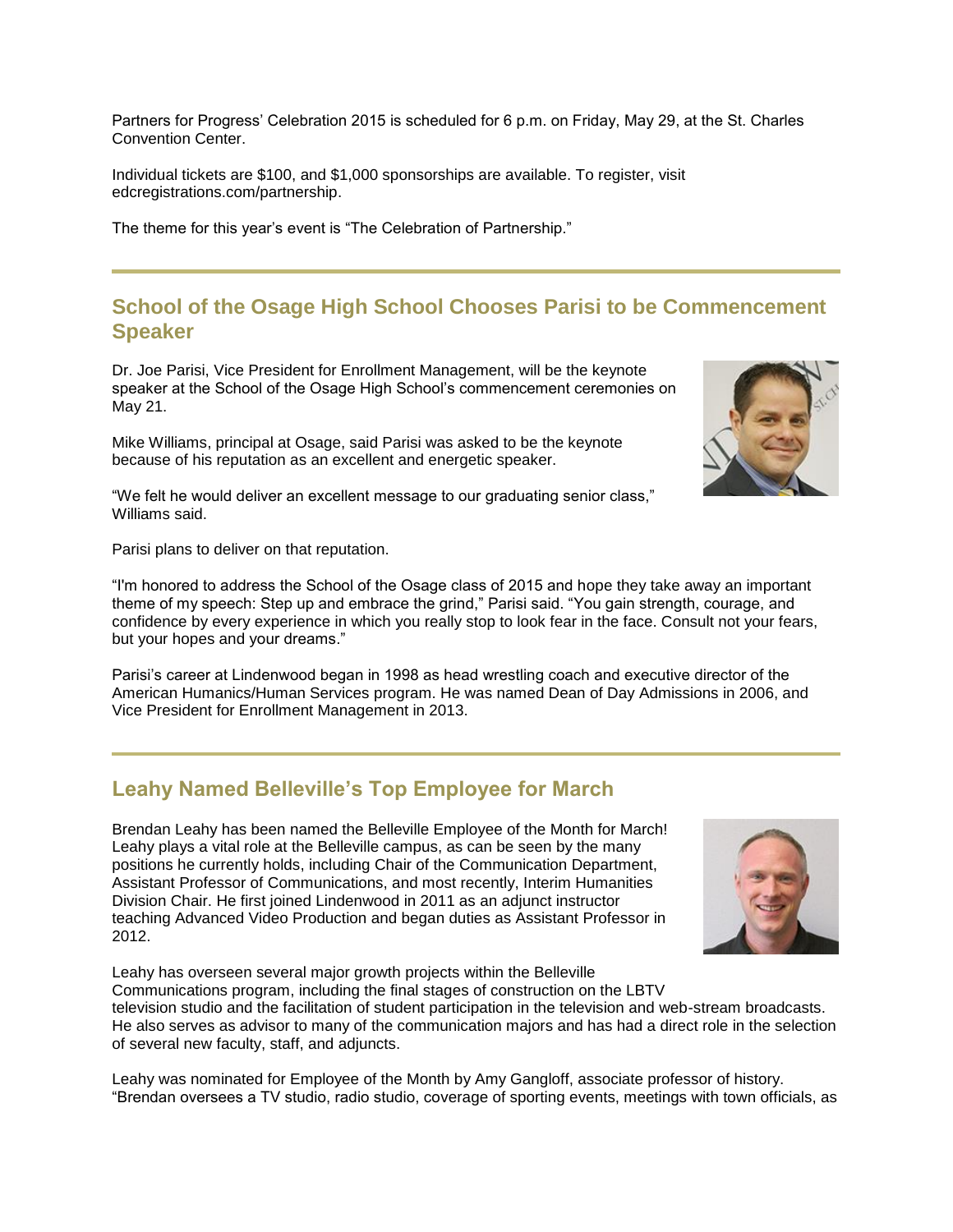Partners for Progress' Celebration 2015 is scheduled for 6 p.m. on Friday, May 29, at the St. Charles Convention Center.

Individual tickets are \$100, and \$1,000 sponsorships are available. To register, visit [edcregistrations.com/partnership.](http://edcregistrations.com/partnership)

The theme for this year's event is "The Celebration of Partnership."

## **School of the Osage High School Chooses Parisi to be Commencement Speaker**

Dr. Joe Parisi, Vice President for Enrollment Management, will be the keynote speaker at the School of the Osage High School's commencement ceremonies on May 21.

Mike Williams, principal at Osage, said Parisi was asked to be the keynote because of his reputation as an excellent and energetic speaker.

"We felt he would deliver an excellent message to our graduating senior class," Williams said.

Parisi plans to deliver on that reputation.

"I'm honored to address the School of the Osage class of 2015 and hope they take away an important theme of my speech: Step up and embrace the grind," Parisi said. "You gain strength, courage, and confidence by every experience in which you really stop to look fear in the face. Consult not your fears, but your hopes and your dreams."

Parisi's career at Lindenwood began in 1998 as head wrestling coach and executive director of the American Humanics/Human Services program. He was named Dean of Day Admissions in 2006, and Vice President for Enrollment Management in 2013.

## **Leahy Named Belleville's Top Employee for March**

Leahy has overseen several major growth projects within the Belleville

Brendan Leahy has been named the Belleville Employee of the Month for March! Leahy plays a vital role at the Belleville campus, as can be seen by the many positions he currently holds, including Chair of the Communication Department, Assistant Professor of Communications, and most recently, Interim Humanities Division Chair. He first joined Lindenwood in 2011 as an adjunct instructor teaching Advanced Video Production and began duties as Assistant Professor in 2012.

Communications program, including the final stages of construction on the LBTV television studio and the facilitation of student participation in the television and web-stream broadcasts. He also serves as advisor to many of the communication majors and has had a direct role in the selection of several new faculty, staff, and adjuncts.

Leahy was nominated for Employee of the Month by Amy Gangloff, associate professor of history. "Brendan oversees a TV studio, radio studio, coverage of sporting events, meetings with town officials, as